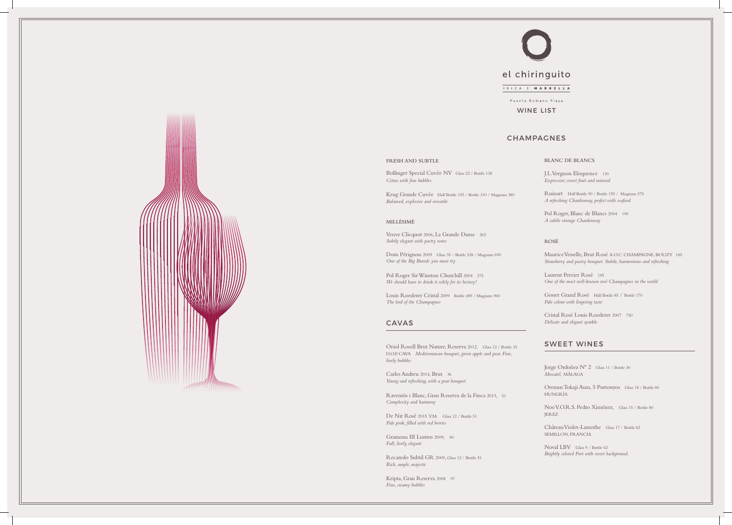# CHAMPAGNES

## CAVAS

## SWEET WINES

WINE LIST





#### **FRESH AND SUBTLE**

Bollinger Special Cuvée NV Glass 22 / Bottle 138 *Citrus with fine bubbles*

Krug Grande Cuvée Half Bottle 155 / Bottle 310 / Magnum 380 *Balanced, explosive and versatile*

## **MILLÉSIMÉ**

Veuve Clicquot 2006, La Grande Dame 265 *Subtly elegant with pastry notes*

Dom Pérignon 2009 Glass 35 / Bottle 328 / Magnum 690 *One of the Big Brands you must try*

Pol Roger Sir Winston Churchill 2004275 *We should have to drink it solely for its history!*

De Nit Rosé 2015 V.M. Glass 12 / Bottle 51 *Pale pink, filled with red berries*

Louis Roederer Cristal 2009 Bottle 489 / Magnum 960 *The lord of the Champagnes*

> Jorge Ordoñez N° 2 Glass 11 / Bottle 30 *Moscatel,* MÁLAGA

Oriol Rosell Brut Nature, Reserva 2012, Glass 12 / Bottle 35 D.O.P. CAVA *Mediterranean bouquet, green apple and pear. Fine, lively bubbles*

Carles Andreu 2014, Brut 36 *Young and refreshing, with a pear bouquet*

Raventós i Blanc, Gran Reserva de la Finca 2013, 51 *Complexity and harmony*

Gramona III Lustros 2009, 80 *Full, lively, elegant*

Recaredo Subtil GR 2009, Glass 12 / Bottle 51 *Rich, ample, majestic*

Kripta, Gran Reserva 2008 97 *Fine, creamy bubbles*



Oremus Tokaji Aszu, 5 Puttonyos Glass 18 / Bottle 80 HUNGRÍA

Noe V.O.R.S. Pedro Ximénez, Glass 15 / Bottle 80 JEREZ

Château Violet-Lamothe Glass 17 / Bottle 82 SEMILLON, FRANCIA

Noval LBV Glass 9 / Bottle 62 *Brightly colored Port with sweet background.*

## **BLANC DE BLANCS**

J.L. Vergnon Eloquence 130 *Expressive; sweet fruit and mineral*

Ruinart Half Bottle 90 / Bottle 159 / Magnum 375 *A refreshing Chardonnay, perfect with seafood*

Pol Roger, Blanc de Blancs 2004 190 *A subtle vintage Chardonnay*

## **ROSÉ**

Maurice Vesselle, Brut Rosé A.O.C. CHAMPAGNE, BOUZY 185 *Strawberry and pastry bouquet. Subtle, harmonious and refreshing*

Laurent Perrier Rosé 185 *One of the most well-known rosé Champagnes in the world*

Gosset Grand Rosé Half Bottle 85 / Bottle 170 *Pale colour with lingering taste*

Cristal Rosé Louis Roederer 2007 750 *Delicate and elegant sparkle*